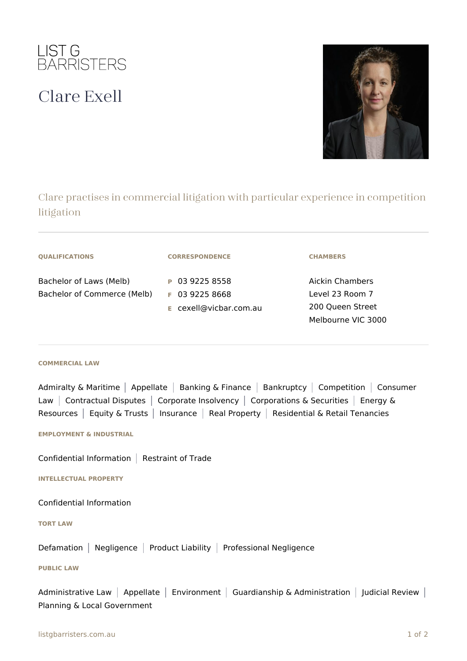

## Clare Exell



Clare practises in commercial litigation with particular experience in competition litigation

| <b>QUALIFICATIONS</b>                                  | <b>CORRESPONDENCE</b>                                        | <b>CHAMBERS</b>                                                              |
|--------------------------------------------------------|--------------------------------------------------------------|------------------------------------------------------------------------------|
| Bachelor of Laws (Melb)<br>Bachelor of Commerce (Melb) | P 03 9225 8558<br>$F$ 03 9225 8668<br>E cexell@vicbar.com.au | Aickin Chambers<br>Level 23 Room 7<br>200 Queen Street<br>Melbourne VIC 3000 |

## **COMMERCIAL LAW**

Admiralty & Maritime | Appellate | Banking & Finance | Bankruptcy | Competition | Consumer Law | Contractual Disputes | Corporate Insolvency | Corporations & Securities | Energy & Resources | Equity & Trusts | Insurance | Real Property | Residential & Retail Tenancies

**EMPLOYMENT & INDUSTRIAL**

Confidential Information  $|$  Restraint of Trade

**INTELLECTUAL PROPERTY**

Confidential Information

**TORT LAW**

Defamation | Negligence | Product Liability | Professional Negligence

## **PUBLIC LAW**

Administrative Law | Appellate | Environment | Guardianship & Administration | Judicial Review | Planning & Local Government